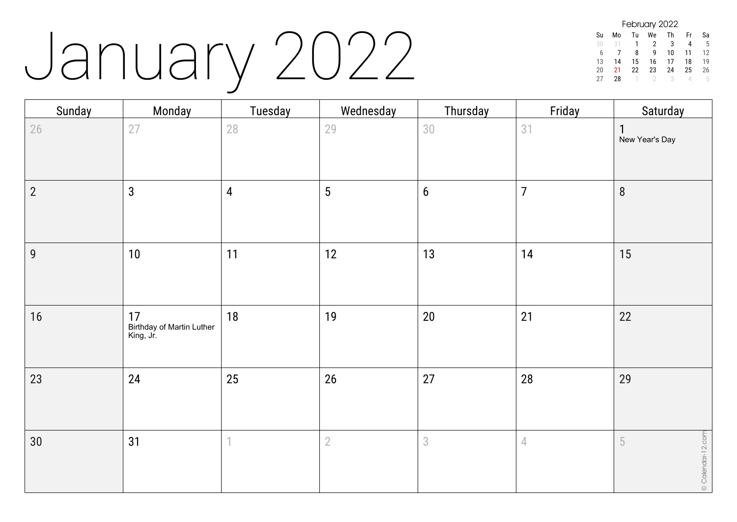## January 2022

| February 2022 |    |    |    |    |    |    |  |  |
|---------------|----|----|----|----|----|----|--|--|
| Su            | Mo | Tu | We | Th | Fr | Sa |  |  |
| 30            | 31 | 1  | 2  | 3  | 4  | 5  |  |  |
| h             |    | 8  | q  | 10 | 11 | 12 |  |  |
| 13            | 14 | 15 | 16 | 17 | 18 | 19 |  |  |
| 20            | 21 | 22 | 23 | 24 | 25 | 26 |  |  |
| 21            | 28 |    |    | २  |    | h  |  |  |

| Sunday         | Monday                                       | Tuesday        | Wednesday       | Thursday   | Friday         | Saturday                     |
|----------------|----------------------------------------------|----------------|-----------------|------------|----------------|------------------------------|
| 26             | 27                                           | 28             | 29              | 30         | 31             | New Year's Day               |
| $\overline{2}$ | $\mathbf{3}$                                 | $\overline{4}$ | $5\phantom{.0}$ | $6\,$      | $\overline{7}$ | $8\phantom{1}$               |
| $\overline{9}$ | 10                                           | 11             | 12              | 13         | 14             | 15                           |
| 16             | 17<br>Birthday of Martin Luther<br>King, Jr. | 18             | 19              | $20\,$     | 21             | 22                           |
| 23             | 24                                           | 25             | 26              | 27         | 28             | 29                           |
| 30             | 31                                           | 1              | $\overline{2}$  | $\sqrt{3}$ | $\overline{4}$ | $\circ$ Calendar-12.com<br>5 |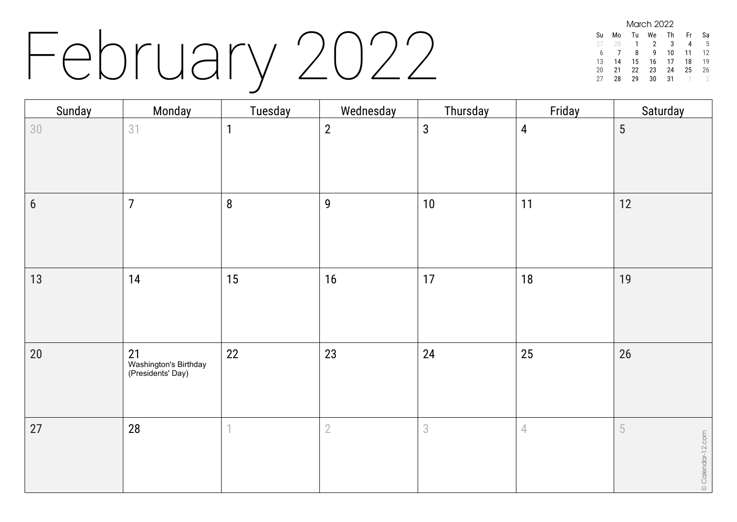## February 2022

| <b>March 2022</b> |    |    |    |    |    |    |  |  |
|-------------------|----|----|----|----|----|----|--|--|
| Su                | Mo | Tu | We | Th | Fr | Sa |  |  |
| 27                | 28 | 1  | 2  | 3  |    | 5  |  |  |
| 6                 |    | 8  | q  | 10 | 11 | 12 |  |  |
| 13                | 14 | 15 | 16 | 17 | 18 | 19 |  |  |
| 20                | 21 | 22 | 23 | 24 | 25 | 26 |  |  |
| 27                | 28 | 29 | 30 | 31 |    |    |  |  |

| Sunday         | Monday                                                | Tuesday | Wednesday      | Thursday       | Friday         | Saturday               |
|----------------|-------------------------------------------------------|---------|----------------|----------------|----------------|------------------------|
| 30             | 31                                                    | 1       | $\overline{2}$ | $\mathbf{3}$   | $\overline{4}$ | 5                      |
| $6\phantom{1}$ | $\overline{7}$                                        | $\bf 8$ | $\overline{9}$ | $10$           | 11             | 12                     |
| 13             | 14                                                    | 15      | 16             | 17             | 18             | 19                     |
| $20\,$         | 21<br>L<br>Washington's Birthday<br>(Presidents' Day) | 22      | 23             | 24             | 25             | 26                     |
| 27             | 28                                                    | 1       | $\overline{2}$ | $\mathfrak{S}$ | $\sqrt{ }$     | 5<br>© Calendar-12.com |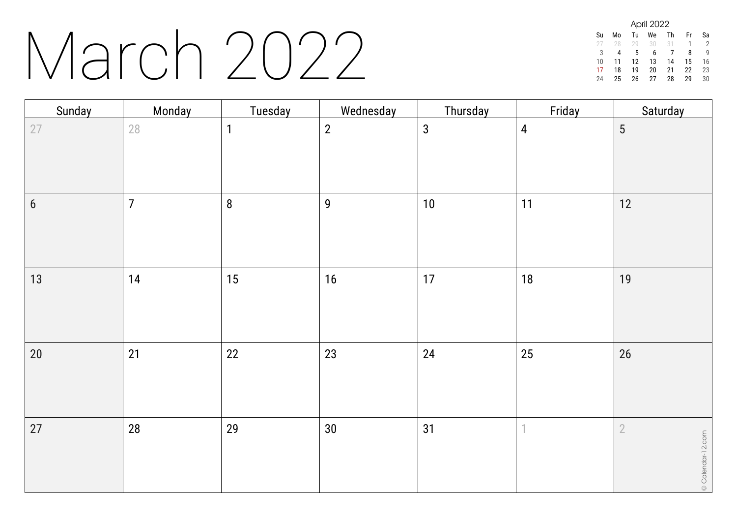#### March 2022

| April 2022 |    |    |    |    |    |    |  |  |
|------------|----|----|----|----|----|----|--|--|
| Su         | Mo | Tu | We | Th | Fr | Sa |  |  |
|            | 28 | 79 | 30 | 31 | 1  | 2  |  |  |
| 3          | 4  | 5  | 6  |    | 8  | g  |  |  |
| 10         | 11 | 12 | 13 | 14 | 15 | 16 |  |  |
| 17         | 18 | 19 | 20 | 21 | 22 | 23 |  |  |
| 24         | 25 | 26 | 27 | 28 | 29 | 30 |  |  |

| Sunday           | Monday         | Tuesday      | Wednesday      | Thursday     | Friday         | Saturday                            |
|------------------|----------------|--------------|----------------|--------------|----------------|-------------------------------------|
| 27               | 28             | $\mathbf{1}$ | $\overline{2}$ | $\mathbf{3}$ | $\overline{4}$ | $5\phantom{.0}$                     |
| $\boldsymbol{6}$ | $\overline{7}$ | $\bf 8$      | $\overline{9}$ | $10\,$       | 11             | 12                                  |
| $13$             | 14             | 15           | 16             | 17           | 18             | 19                                  |
| $20\,$           | 21             | 22           | 23             | 24           | 25             | 26                                  |
| 27               | 28             | 29           | $30\,$         | 31           | 1              | $\overline{2}$<br>© Calendar-12.com |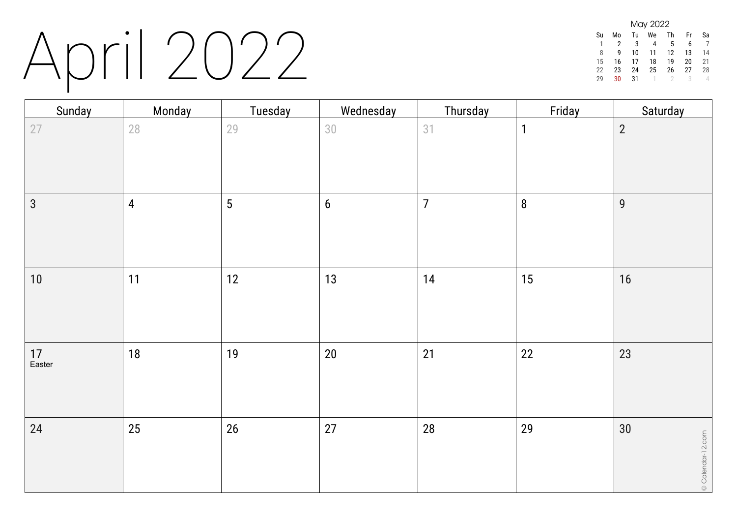### April 2022

| May 2022 |    |    |    |    |    |    |  |
|----------|----|----|----|----|----|----|--|
| Su       | Mo | Tu | We | Th | Fr | Sa |  |
|          |    | 3  |    | 5  | 6  |    |  |
| 8        | q  | 10 | 11 | 12 | 13 | 14 |  |
| 15       | 16 | 17 | 18 | 19 | 20 | 21 |  |
| 22       | 23 | 24 | 25 | 26 | 27 | 28 |  |
| ንባ       | 30 | 31 |    |    | २  |    |  |

| Sunday         | Monday         | Tuesday         | Wednesday      | Thursday       | Friday       | Saturday                |
|----------------|----------------|-----------------|----------------|----------------|--------------|-------------------------|
| 27             | $28\,$         | 29              | 30             | 31             | $\mathbf{1}$ | $\overline{2}$          |
| $\mathfrak{S}$ | $\overline{4}$ | $5\phantom{.0}$ | $6\phantom{a}$ | $\overline{7}$ | $\bf 8$      | $\overline{9}$          |
| $10\,$         | 11             | 12              | 13             | $14$           | 15           | 16                      |
| 17<br>Easter   | $18$           | 19              | $20\,$         | 21             | 22           | 23                      |
| 24             | 25             | 26              | 27             | 28             | 29           | 30<br>© Calendar-12.com |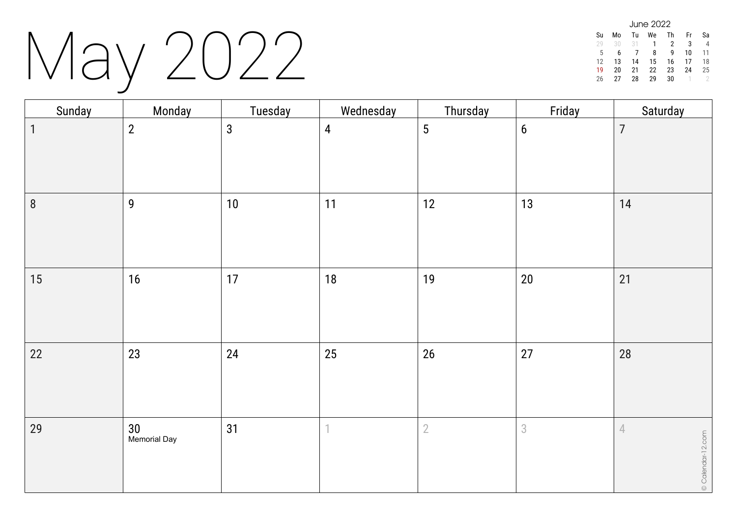### May 2022

| June 2022 |    |    |    |    |    |    |  |
|-----------|----|----|----|----|----|----|--|
| Su        | Mo | Tu | We | Тh | Fr | Sa |  |
| 29        | 30 | 31 | 1  | 2  | 3  |    |  |
| 5         | 6  |    | 8  | q  | 10 | 11 |  |
| 12        | 13 | 14 | 15 | 16 | 17 | 18 |  |
| 19        | 20 | 21 | 22 | 23 | 24 | 25 |  |
| 26        | 27 | 28 | 29 | 30 |    |    |  |

| Sunday      | Monday             | Tuesday      | Wednesday      | Thursday       | Friday         | Saturday                        |
|-------------|--------------------|--------------|----------------|----------------|----------------|---------------------------------|
| $\mathbf 1$ | $\overline{2}$     | $\mathbf{3}$ | $\overline{4}$ | 5              | $6\phantom{a}$ | $\overline{7}$                  |
| $\, 8$      | $\overline{9}$     | $10$         | 11             | 12             | 13             | 14                              |
| 15          | $16$               | 17           | 18             | 19             | $20\,$         | 21                              |
| 22          | 23                 | 24           | 25             | $26\,$         | 27             | 28                              |
| 29          | 30<br>Memorial Day | 31           | 1              | $\overline{2}$ | $\sqrt{3}$     | $\sqrt{ }$<br>© Calendar-12.com |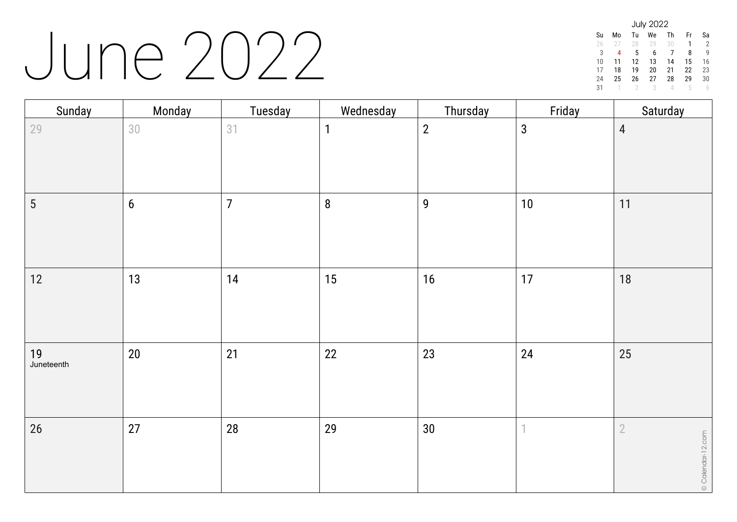#### June 2022

| <b>July 2022</b> |    |    |    |    |    |    |  |  |
|------------------|----|----|----|----|----|----|--|--|
| Su               | Mo | Tu | We | Th | Fr | Sa |  |  |
| 26               | 27 | 28 | 29 | 30 | 1  | 2  |  |  |
| 3                | 4  | 5  | 6  | 7  | 8  | g  |  |  |
| 10               | 11 | 12 | 13 | 14 | 15 | 16 |  |  |
| 17               | 18 | 19 | 20 | 21 | 22 | 23 |  |  |
| 24               | 25 | 26 | 27 | 28 | 29 | 30 |  |  |
| 31               |    |    | 3  | Δ  | h  |    |  |  |

| Sunday           | Monday         | Tuesday        | Wednesday    | Thursday         | Friday                   | Saturday                        |
|------------------|----------------|----------------|--------------|------------------|--------------------------|---------------------------------|
| 29               | $30\,$         | 31             | $\mathbf{1}$ | $\overline{2}$   | $\mathfrak{Z}$           | $\overline{4}$                  |
| 5                | $6\phantom{a}$ | $\overline{7}$ | $\bf 8$      | $\boldsymbol{9}$ | $10\,$                   | 11                              |
| 12               | 13             | 14             | 15           | 16               | 17                       | 18                              |
| 19<br>Juneteenth | $20\,$         | 21             | 22           | 23               | 24                       | 25                              |
| $26\,$           | 27             | 28             | 29           | $30\,$           | $\overline{\phantom{a}}$ | $\sqrt{2}$<br>© Calendar-12.com |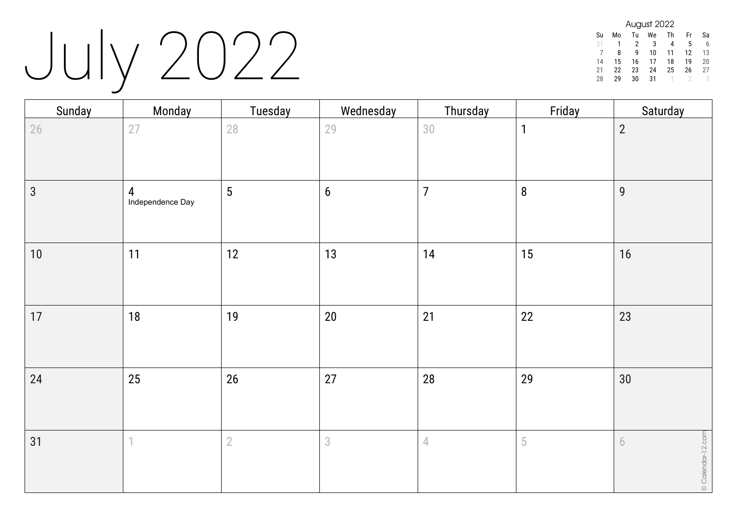## July 2022

| August 2022 |    |    |    |    |    |    |  |  |
|-------------|----|----|----|----|----|----|--|--|
| Su          | Mo | Tu | We | Th | Fr | Sa |  |  |
| 31          |    | 2  | 3  | 4  | 5  | 6  |  |  |
|             | 8  | q  | 10 | 11 | 12 | 13 |  |  |
| 14          | 15 | 16 | 17 | 18 | 19 | 20 |  |  |
| 21          | 22 | 23 | 24 | 25 | 26 | 27 |  |  |
| 28          | 29 | 30 | 31 |    |    |    |  |  |

| Sunday         | Monday                | Tuesday    | Wednesday      | Thursday             | Friday       | Saturday               |
|----------------|-----------------------|------------|----------------|----------------------|--------------|------------------------|
| 26             | 27                    | 28         | 29             | 30                   | $\mathbf{1}$ | $\overline{2}$         |
| $\mathfrak{S}$ | 4<br>Independence Day | 5          | $6\phantom{a}$ | $\overline{7}$       | $\bf 8$      | $\overline{9}$         |
| 10             | 11                    | 12         | 13             | 14                   | 15           | 16                     |
| 17             | 18                    | 19         | $20\,$         | 21                   | 22           | 23                     |
| 24             | 25                    | 26         | 27             | 28                   | 29           | 30                     |
| 31             | $\overline{1}$        | $\sqrt{2}$ | 3              | $\sqrt{\phantom{a}}$ | $\sqrt{5}$   | © Calendar-12.com<br>6 |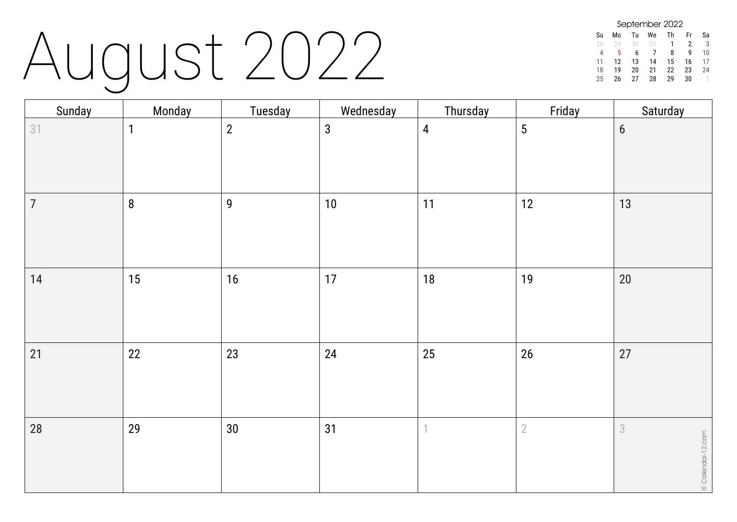# August 2022

| September 2022 |    |    |    |    |    |    |  |  |
|----------------|----|----|----|----|----|----|--|--|
| Su             | Mo | Tu | We | Th | Fr | Sa |  |  |
| 28             | 20 | 30 | 31 |    | 2  | 3  |  |  |
| Δ              | 5  | 6  |    | 8  | q  | 10 |  |  |
| 11             | 12 | 13 | 14 | 15 | 16 | 17 |  |  |
| 18             | 19 | 20 | 21 | 22 | 23 | 24 |  |  |
| 25             | 26 | 27 | 28 | 29 | 30 |    |  |  |

| Sunday         | Monday           | Tuesday        | Wednesday    | Thursday       | Friday         | Saturday                            |
|----------------|------------------|----------------|--------------|----------------|----------------|-------------------------------------|
| 31             | $\mathbf{1}$     | $\overline{2}$ | $\mathbf{3}$ | $\overline{4}$ | $\overline{5}$ | $6\phantom{a}$                      |
| $\overline{7}$ | $\boldsymbol{8}$ | $\mathbf{9}$   | $10$         | 11             | 12             | $13$                                |
| $14$           | 15               | 16             | 17           | 18             | 19             | $20\,$                              |
| 21             | 22               | 23             | 24           | 25             | $26\,$         | 27                                  |
| 28             | 29               | $30\,$         | 31           | 1              | $\overline{2}$ | $\overline{3}$<br>© Calendar-12.com |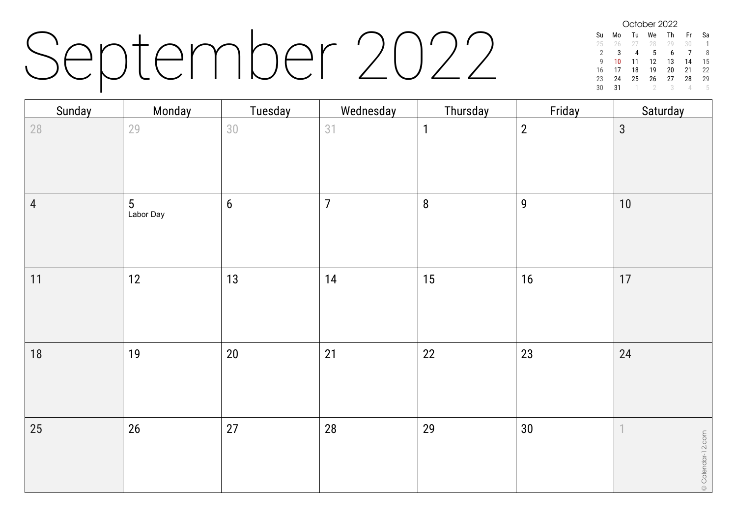### September 2022

October 2022 Su Mo Tu We Th Fr Sa 25 26 27 28 29 30 1 2 3 4 5 6 7 8<br>9 10 11 12 13 14 15 9 10 11 12 13 14 15 16 17 18 19 20 21 22  $\begin{array}{cccc} 23 & 24 & 25 & 26 & 27 \\ 30 & 31 & 1 & 2 & 3 \end{array}$ 30 31 1 2 3 4 5

| Sunday         | Monday         | Tuesday          | Wednesday      | Thursday     | Friday           | Saturday                                |
|----------------|----------------|------------------|----------------|--------------|------------------|-----------------------------------------|
| $28\,$         | 29             | 30               | 31             | $\mathbf{1}$ | $\sqrt{2}$       | $\mathbf{3}$                            |
| $\overline{4}$ | 5<br>Labor Day | $\boldsymbol{6}$ | $\overline{7}$ | $\bf 8$      | $\boldsymbol{9}$ | $10\,$                                  |
| 11             | 12             | 13               | 14             | 15           | $16$             | 17                                      |
| $18$           | 19             | $20\,$           | 21             | 22           | 23               | 24                                      |
| 25             | $26\,$         | 27               | 28             | 29           | $30\,$           | $\mathbb{1}$<br>$\circ$ Calendar-12.com |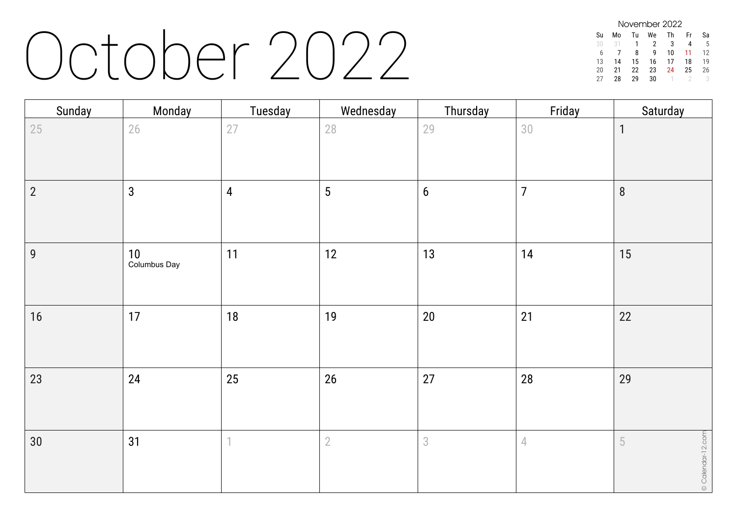#### October 2022

| November 2022 |    |    |    |    |    |    |  |  |
|---------------|----|----|----|----|----|----|--|--|
| Su            | M٥ | Tu | We | Th | Fr | Sa |  |  |
| 30            | 31 | 1  | 2  | 3  |    | 5  |  |  |
| 6             |    | 8  | q  | 10 | 11 | 12 |  |  |
| 13            | 14 | 15 | 16 | 17 | 18 | 19 |  |  |
| 20            | 21 | 22 | 23 | 24 | 25 | 26 |  |  |
| 27            | 28 | 29 | 30 |    |    |    |  |  |

| Sunday         | Monday               | Tuesday        | Wednesday       | Thursday   | Friday         | Saturday                                  |
|----------------|----------------------|----------------|-----------------|------------|----------------|-------------------------------------------|
| 25             | $26\,$               | 27             | 28              | 29         | 30             | $\mathbf{1}$                              |
| $\overline{2}$ | $\mathbf{3}$         | $\overline{4}$ | $5\phantom{.0}$ | $6\,$      | $\overline{7}$ | $\, 8$                                    |
| 9              | $10$<br>Columbus Day | 11             | 12              | 13         | 14             | 15                                        |
| $16$           | 17                   | 18             | 19              | $20\,$     | 21             | 22                                        |
| 23             | 24                   | 25             | 26              | 27         | 28             | 29                                        |
| 30             | 31                   | 1              | $\overline{2}$  | $\sqrt{3}$ | $\sqrt{ }$     | $\circ$ Calendar-12.com<br>$\overline{5}$ |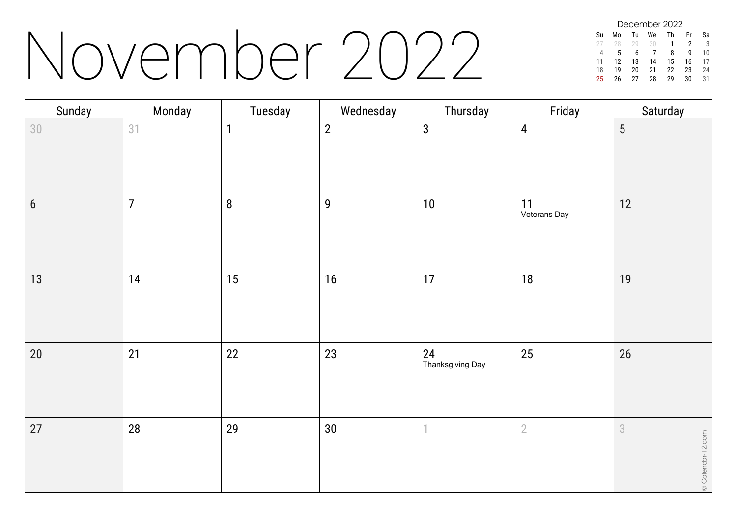### November 2022

December 2022 Su Mo Tu We Th Fr Sa 28 29 30 1 2 3 4 5 6 7 8 9 10 11 12 13 14 15 16 17 18 19 20 21 22 23 24 26 27 28 29

| Sunday | Monday         | Tuesday      | Wednesday      | Thursday                 | Friday             | Saturday               |
|--------|----------------|--------------|----------------|--------------------------|--------------------|------------------------|
| 30     | 31             | $\mathbf{1}$ | $\overline{2}$ | $\mathbf{3}$             | $\overline{4}$     | $\overline{5}$         |
| $6\,$  | $\overline{7}$ | $\bf 8$      | $\overline{9}$ | 10                       | 11<br>Veterans Day | 12                     |
| 13     | 14             | 15           | 16             | 17                       | 18                 | 19                     |
| $20\,$ | 21             | 22           | 23             | 24<br>Thanksgiving Day   | 25                 | 26                     |
| 27     | 28             | 29           | $30\,$         | $\overline{\phantom{a}}$ | $\overline{2}$     | 3<br>© Calendar-12.com |